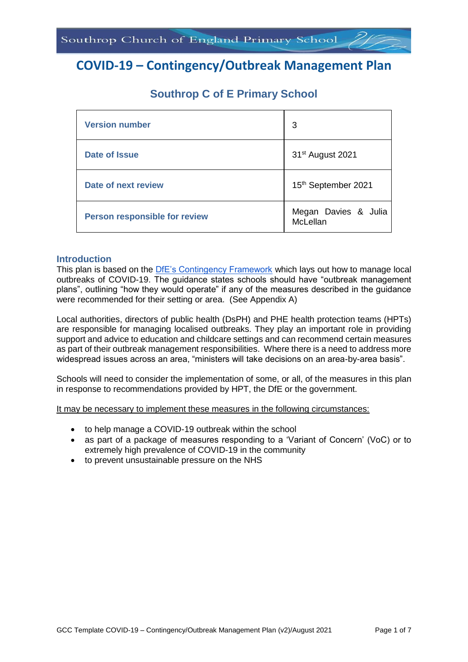# **COVID-19 – Contingency/Outbreak Management Plan**

| <b>Version number</b>                | 3                                |
|--------------------------------------|----------------------------------|
| <b>Date of Issue</b>                 | 31 <sup>st</sup> August 2021     |
| <b>Date of next review</b>           | 15th September 2021              |
| <b>Person responsible for review</b> | Megan Davies & Julia<br>McLellan |

## **Southrop C of E Primary School**

#### **Introduction**

This plan is based on the [DfE's Contingency Framework](https://www.gov.uk/government/publications/coronavirus-covid-19-local-restrictions-in-education-and-childcare-settings/contingency-framework-education-and-childcare-settings) which lays out how to manage local outbreaks of COVID-19. The guidance states schools should have "outbreak management plans", outlining "how they would operate" if any of the measures described in the guidance were recommended for their setting or area. (See Appendix A)

Local authorities, directors of public health (DsPH) and PHE health protection teams (HPTs) are responsible for managing localised outbreaks. They play an important role in providing support and advice to education and childcare settings and can recommend certain measures as part of their outbreak management responsibilities. Where there is a need to address more widespread issues across an area, "ministers will take decisions on an area-by-area basis".

Schools will need to consider the implementation of some, or all, of the measures in this plan in response to recommendations provided by HPT, the DfE or the government.

It may be necessary to implement these measures in the following circumstances:

- to help manage a COVID-19 outbreak within the school
- as part of a package of measures responding to a 'Variant of Concern' (VoC) or to extremely high prevalence of COVID-19 in the community
- to prevent unsustainable pressure on the NHS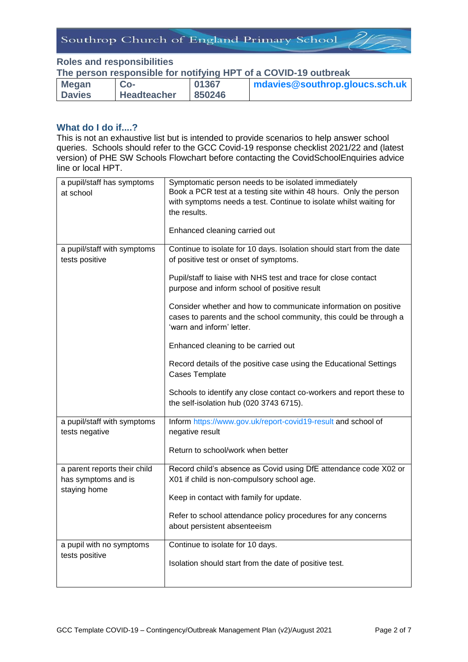#### **Roles and responsibilities**

**The person responsible for notifying HPT of a COVID-19 outbreak** 

| <b>Megan</b>  | $Co-$              | 01367  | mdavies@southrop.gloucs.sch.uk |
|---------------|--------------------|--------|--------------------------------|
| <b>Davies</b> | <b>Headteacher</b> | 850246 |                                |

### **What do I do if....?**

This is not an exhaustive list but is intended to provide scenarios to help answer school queries. Schools should refer to the GCC Covid-19 response checklist 2021/22 and (latest version) of PHE SW Schools Flowchart before contacting the CovidSchoolEnquiries advice line or local HPT.

| a pupil/staff has symptoms<br>at school             | Symptomatic person needs to be isolated immediately<br>Book a PCR test at a testing site within 48 hours. Only the person<br>with symptoms needs a test. Continue to isolate whilst waiting for<br>the results.<br>Enhanced cleaning carried out |
|-----------------------------------------------------|--------------------------------------------------------------------------------------------------------------------------------------------------------------------------------------------------------------------------------------------------|
| a pupil/staff with symptoms<br>tests positive       | Continue to isolate for 10 days. Isolation should start from the date<br>of positive test or onset of symptoms.<br>Pupil/staff to liaise with NHS test and trace for close contact<br>purpose and inform school of positive result               |
|                                                     | Consider whether and how to communicate information on positive<br>cases to parents and the school community, this could be through a<br>'warn and inform' letter.                                                                               |
|                                                     | Enhanced cleaning to be carried out                                                                                                                                                                                                              |
|                                                     | Record details of the positive case using the Educational Settings<br><b>Cases Template</b>                                                                                                                                                      |
|                                                     | Schools to identify any close contact co-workers and report these to<br>the self-isolation hub (020 3743 6715).                                                                                                                                  |
| a pupil/staff with symptoms<br>tests negative       | Inform https://www.gov.uk/report-covid19-result and school of<br>negative result                                                                                                                                                                 |
|                                                     | Return to school/work when better                                                                                                                                                                                                                |
| a parent reports their child<br>has symptoms and is | Record child's absence as Covid using DfE attendance code X02 or<br>X01 if child is non-compulsory school age.                                                                                                                                   |
| staying home                                        | Keep in contact with family for update.                                                                                                                                                                                                          |
|                                                     | Refer to school attendance policy procedures for any concerns<br>about persistent absenteeism                                                                                                                                                    |
| a pupil with no symptoms<br>tests positive          | Continue to isolate for 10 days.                                                                                                                                                                                                                 |
|                                                     | Isolation should start from the date of positive test.                                                                                                                                                                                           |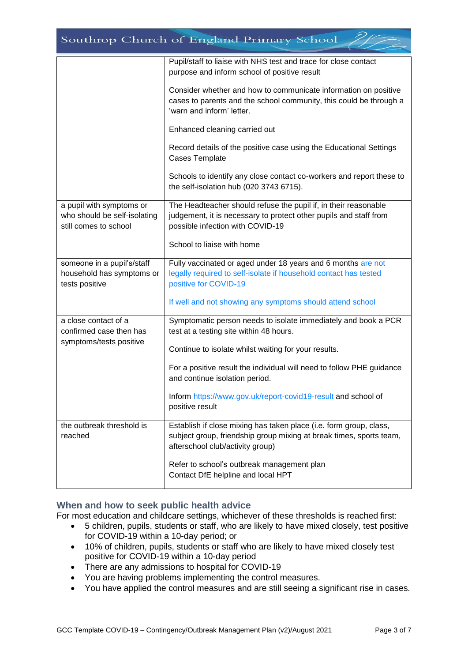| Southrop Church of England Primary School                                         |                                                                                                                                                                               |  |
|-----------------------------------------------------------------------------------|-------------------------------------------------------------------------------------------------------------------------------------------------------------------------------|--|
|                                                                                   | Pupil/staff to liaise with NHS test and trace for close contact<br>purpose and inform school of positive result                                                               |  |
|                                                                                   | Consider whether and how to communicate information on positive<br>cases to parents and the school community, this could be through a<br>'warn and inform' letter.            |  |
|                                                                                   | Enhanced cleaning carried out                                                                                                                                                 |  |
|                                                                                   | Record details of the positive case using the Educational Settings<br>Cases Template                                                                                          |  |
|                                                                                   | Schools to identify any close contact co-workers and report these to<br>the self-isolation hub (020 3743 6715).                                                               |  |
| a pupil with symptoms or<br>who should be self-isolating<br>still comes to school | The Headteacher should refuse the pupil if, in their reasonable<br>judgement, it is necessary to protect other pupils and staff from<br>possible infection with COVID-19      |  |
|                                                                                   | School to liaise with home                                                                                                                                                    |  |
| someone in a pupil's/staff<br>household has symptoms or<br>tests positive         | Fully vaccinated or aged under 18 years and 6 months are not<br>legally required to self-isolate if household contact has tested<br>positive for COVID-19                     |  |
|                                                                                   | If well and not showing any symptoms should attend school                                                                                                                     |  |
| a close contact of a<br>confirmed case then has                                   | Symptomatic person needs to isolate immediately and book a PCR<br>test at a testing site within 48 hours.                                                                     |  |
| symptoms/tests positive                                                           | Continue to isolate whilst waiting for your results.                                                                                                                          |  |
|                                                                                   | For a positive result the individual will need to follow PHE guidance<br>and continue isolation period.                                                                       |  |
|                                                                                   | Inform https://www.gov.uk/report-covid19-result and school of<br>positive result                                                                                              |  |
| the outbreak threshold is<br>reached                                              | Establish if close mixing has taken place (i.e. form group, class,<br>subject group, friendship group mixing at break times, sports team,<br>afterschool club/activity group) |  |
|                                                                                   | Refer to school's outbreak management plan<br>Contact DfE helpline and local HPT                                                                                              |  |

#### **When and how to seek public health advice**

For most education and childcare settings, whichever of these thresholds is reached first:

- 5 children, pupils, students or staff, who are likely to have mixed closely, test positive for COVID-19 within a 10-day period; or
- 10% of children, pupils, students or staff who are likely to have mixed closely test positive for COVID-19 within a 10-day period
- There are any admissions to hospital for COVID-19
- You are having problems implementing the control measures.
- You have applied the control measures and are still seeing a significant rise in cases.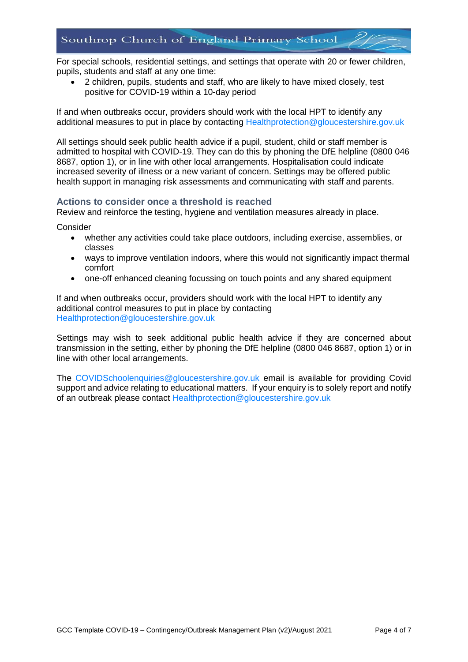For special schools, residential settings, and settings that operate with 20 or fewer children, pupils, students and staff at any one time:

 2 children, pupils, students and staff, who are likely to have mixed closely, test positive for COVID-19 within a 10-day period

If and when outbreaks occur, providers should work with the local HPT to identify any additional measures to put in place by contacting [Healthprotection@gloucestershire.gov.uk](mailto:Healthprotection@gloucestershire.gov.uk)

All settings should seek public health advice if a pupil, student, child or staff member is admitted to hospital with COVID-19. They can do this by phoning the DfE helpline (0800 046 8687, option 1), or in line with other local arrangements. Hospitalisation could indicate increased severity of illness or a new variant of concern. Settings may be offered public health support in managing risk assessments and communicating with staff and parents.

#### **Actions to consider once a threshold is reached**

Review and reinforce the testing, hygiene and ventilation measures already in place.

**Consider** 

- whether any activities could take place outdoors, including exercise, assemblies, or classes
- ways to improve ventilation indoors, where this would not significantly impact thermal comfort
- one-off enhanced cleaning focussing on touch points and any shared equipment

If and when outbreaks occur, providers should work with the local HPT to identify any additional control measures to put in place by contacting [Healthprotection@gloucestershire.gov.uk](mailto:Healthprotection@gloucestershire.gov.uk)

Settings may wish to seek additional public health advice if they are concerned about transmission in the setting, either by phoning the DfE helpline (0800 046 8687, option 1) or in line with other local arrangements.

The [COVIDSchoolenquiries@gloucestershire.gov.uk](mailto:COVIDSchoolenquiries@gloucestershire.gov.uk) email is available for providing Covid support and advice relating to educational matters. If your enquiry is to solely report and notify of an outbreak please contact [Healthprotection@gloucestershire.gov.uk](mailto:Healthprotection@gloucestershire.gov.uk)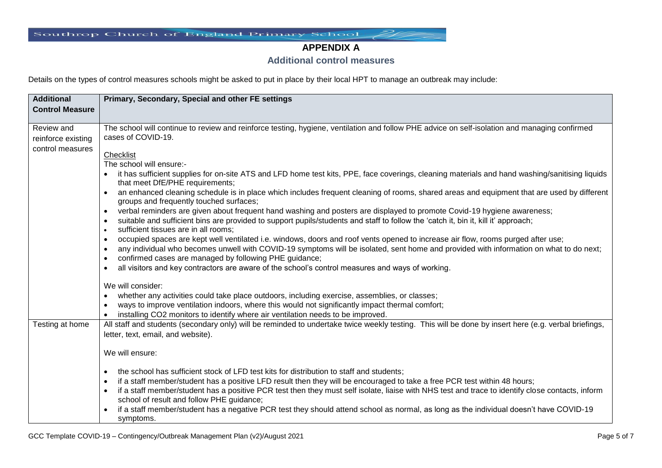# **APPENDIX A**

### **Additional control measures**

Details on the types of control measures schools might be asked to put in place by their local HPT to manage an outbreak may include:

| <b>Additional</b>      | Primary, Secondary, Special and other FE settings                                                                                                                                     |
|------------------------|---------------------------------------------------------------------------------------------------------------------------------------------------------------------------------------|
| <b>Control Measure</b> |                                                                                                                                                                                       |
|                        |                                                                                                                                                                                       |
| Review and             | The school will continue to review and reinforce testing, hygiene, ventilation and follow PHE advice on self-isolation and managing confirmed                                         |
| reinforce existing     | cases of COVID-19.                                                                                                                                                                    |
| control measures       | Checklist                                                                                                                                                                             |
|                        | The school will ensure:-                                                                                                                                                              |
|                        | it has sufficient supplies for on-site ATS and LFD home test kits, PPE, face coverings, cleaning materials and hand washing/sanitising liquids                                        |
|                        | that meet DfE/PHE requirements;                                                                                                                                                       |
|                        | an enhanced cleaning schedule is in place which includes frequent cleaning of rooms, shared areas and equipment that are used by different                                            |
|                        | groups and frequently touched surfaces;                                                                                                                                               |
|                        | verbal reminders are given about frequent hand washing and posters are displayed to promote Covid-19 hygiene awareness;<br>$\bullet$                                                  |
|                        | suitable and sufficient bins are provided to support pupils/students and staff to follow the 'catch it, bin it, kill it' approach;<br>$\bullet$                                       |
|                        | sufficient tissues are in all rooms;<br>$\bullet$<br>occupied spaces are kept well ventilated i.e. windows, doors and roof vents opened to increase air flow, rooms purged after use; |
|                        | $\bullet$<br>any individual who becomes unwell with COVID-19 symptoms will be isolated, sent home and provided with information on what to do next;<br>$\bullet$                      |
|                        | confirmed cases are managed by following PHE guidance;<br>$\bullet$                                                                                                                   |
|                        | all visitors and key contractors are aware of the school's control measures and ways of working.<br>$\bullet$                                                                         |
|                        |                                                                                                                                                                                       |
|                        | We will consider:                                                                                                                                                                     |
|                        | whether any activities could take place outdoors, including exercise, assemblies, or classes;                                                                                         |
|                        | ways to improve ventilation indoors, where this would not significantly impact thermal comfort;                                                                                       |
|                        | installing CO2 monitors to identify where air ventilation needs to be improved.                                                                                                       |
| Testing at home        | All staff and students (secondary only) will be reminded to undertake twice weekly testing. This will be done by insert here (e.g. verbal briefings,                                  |
|                        | letter, text, email, and website).                                                                                                                                                    |
|                        | We will ensure:                                                                                                                                                                       |
|                        |                                                                                                                                                                                       |
|                        | the school has sufficient stock of LFD test kits for distribution to staff and students;<br>$\bullet$                                                                                 |
|                        | if a staff member/student has a positive LFD result then they will be encouraged to take a free PCR test within 48 hours;                                                             |
|                        | if a staff member/student has a positive PCR test then they must self isolate, liaise with NHS test and trace to identify close contacts, inform                                      |
|                        | school of result and follow PHE guidance;                                                                                                                                             |
|                        | if a staff member/student has a negative PCR test they should attend school as normal, as long as the individual doesn't have COVID-19                                                |
|                        | symptoms.                                                                                                                                                                             |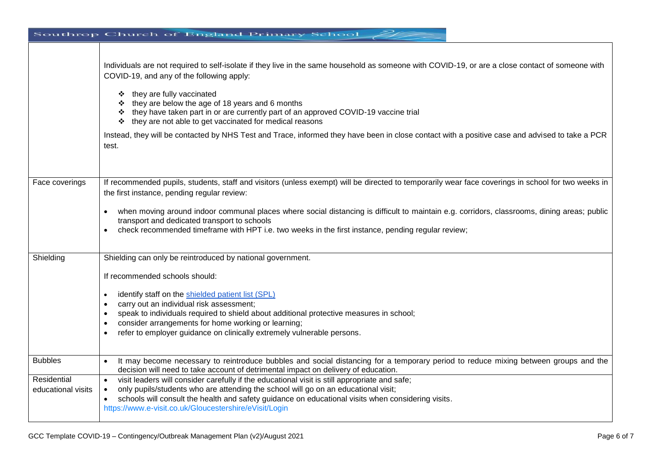|                                                     | Southrop Church of England Primary School                                                                                                                                                                                                                                                                                                                                                                                                                                                                                                                                                                  |
|-----------------------------------------------------|------------------------------------------------------------------------------------------------------------------------------------------------------------------------------------------------------------------------------------------------------------------------------------------------------------------------------------------------------------------------------------------------------------------------------------------------------------------------------------------------------------------------------------------------------------------------------------------------------------|
|                                                     | Individuals are not required to self-isolate if they live in the same household as someone with COVID-19, or are a close contact of someone with<br>COVID-19, and any of the following apply:<br>they are fully vaccinated<br>❖<br>❖ they are below the age of 18 years and 6 months<br>* they have taken part in or are currently part of an approved COVID-19 vaccine trial<br>they are not able to get vaccinated for medical reasons<br>❖<br>Instead, they will be contacted by NHS Test and Trace, informed they have been in close contact with a positive case and advised to take a PCR<br>test.   |
| Face coverings                                      | If recommended pupils, students, staff and visitors (unless exempt) will be directed to temporarily wear face coverings in school for two weeks in<br>the first instance, pending regular review:<br>when moving around indoor communal places where social distancing is difficult to maintain e.g. corridors, classrooms, dining areas; public<br>transport and dedicated transport to schools<br>check recommended timeframe with HPT i.e. two weeks in the first instance, pending regular review;                                                                                                     |
| Shielding                                           | Shielding can only be reintroduced by national government.<br>If recommended schools should:<br>identify staff on the shielded patient list (SPL)<br>$\bullet$<br>carry out an individual risk assessment;<br>$\bullet$<br>speak to individuals required to shield about additional protective measures in school;<br>$\bullet$<br>consider arrangements for home working or learning;<br>refer to employer guidance on clinically extremely vulnerable persons.                                                                                                                                           |
| <b>Bubbles</b><br>Residential<br>educational visits | It may become necessary to reintroduce bubbles and social distancing for a temporary period to reduce mixing between groups and the<br>decision will need to take account of detrimental impact on delivery of education.<br>visit leaders will consider carefully if the educational visit is still appropriate and safe;<br>$\bullet$<br>only pupils/students who are attending the school will go on an educational visit;<br>$\bullet$<br>schools will consult the health and safety guidance on educational visits when considering visits.<br>https://www.e-visit.co.uk/Gloucestershire/eVisit/Login |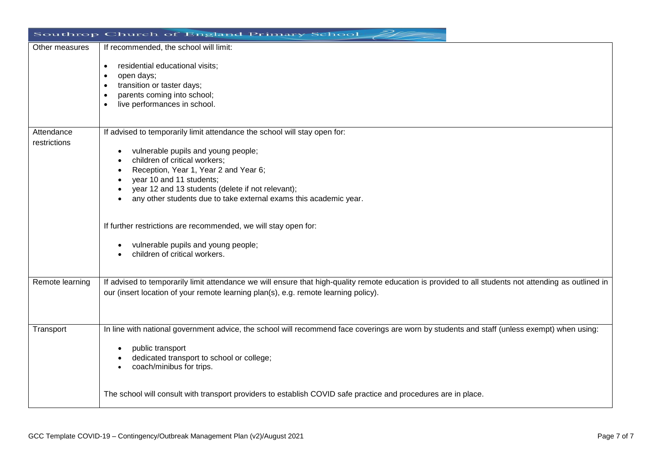|                            | Southrop Church of England Primary School                                                                                                                                                                                                                                                                                                        |
|----------------------------|--------------------------------------------------------------------------------------------------------------------------------------------------------------------------------------------------------------------------------------------------------------------------------------------------------------------------------------------------|
| Other measures             | If recommended, the school will limit:<br>residential educational visits;<br>$\bullet$<br>open days;<br>transition or taster days;                                                                                                                                                                                                               |
|                            | parents coming into school;<br>live performances in school.                                                                                                                                                                                                                                                                                      |
| Attendance<br>restrictions | If advised to temporarily limit attendance the school will stay open for:<br>vulnerable pupils and young people;<br>children of critical workers;<br>Reception, Year 1, Year 2 and Year 6;<br>year 10 and 11 students;<br>year 12 and 13 students (delete if not relevant);<br>any other students due to take external exams this academic year. |
|                            | If further restrictions are recommended, we will stay open for:<br>vulnerable pupils and young people;<br>children of critical workers.                                                                                                                                                                                                          |
| Remote learning            | If advised to temporarily limit attendance we will ensure that high-quality remote education is provided to all students not attending as outlined in<br>our (insert location of your remote learning plan(s), e.g. remote learning policy).                                                                                                     |
| Transport                  | In line with national government advice, the school will recommend face coverings are worn by students and staff (unless exempt) when using:<br>public transport<br>dedicated transport to school or college;<br>coach/minibus for trips.                                                                                                        |
|                            | The school will consult with transport providers to establish COVID safe practice and procedures are in place.                                                                                                                                                                                                                                   |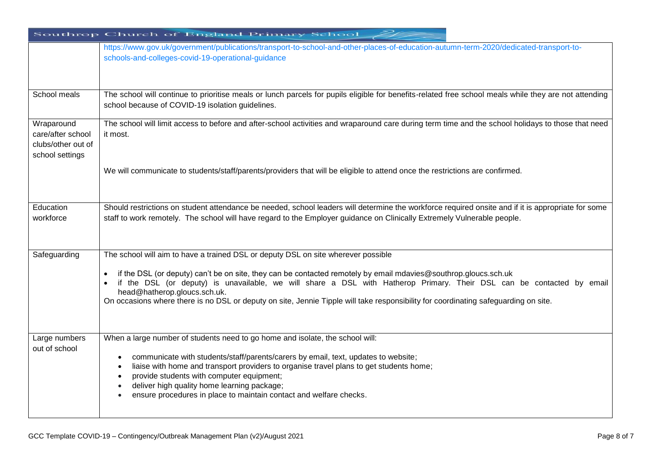|                                                                          | Southrop Church of England Primary School                                                                                                                                                                                                                                                                                                                                                                                                                                                            |
|--------------------------------------------------------------------------|------------------------------------------------------------------------------------------------------------------------------------------------------------------------------------------------------------------------------------------------------------------------------------------------------------------------------------------------------------------------------------------------------------------------------------------------------------------------------------------------------|
|                                                                          | https://www.gov.uk/government/publications/transport-to-school-and-other-places-of-education-autumn-term-2020/dedicated-transport-to-<br>schools-and-colleges-covid-19-operational-guidance                                                                                                                                                                                                                                                                                                          |
| School meals                                                             | The school will continue to prioritise meals or lunch parcels for pupils eligible for benefits-related free school meals while they are not attending<br>school because of COVID-19 isolation guidelines.                                                                                                                                                                                                                                                                                            |
| Wraparound<br>care/after school<br>clubs/other out of<br>school settings | The school will limit access to before and after-school activities and wraparound care during term time and the school holidays to those that need<br>it most.                                                                                                                                                                                                                                                                                                                                       |
|                                                                          | We will communicate to students/staff/parents/providers that will be eligible to attend once the restrictions are confirmed.                                                                                                                                                                                                                                                                                                                                                                         |
| Education<br>workforce                                                   | Should restrictions on student attendance be needed, school leaders will determine the workforce required onsite and if it is appropriate for some<br>staff to work remotely. The school will have regard to the Employer guidance on Clinically Extremely Vulnerable people.                                                                                                                                                                                                                        |
| Safeguarding                                                             | The school will aim to have a trained DSL or deputy DSL on site wherever possible<br>if the DSL (or deputy) can't be on site, they can be contacted remotely by email mdavies@southrop.gloucs.sch.uk<br>if the DSL (or deputy) is unavailable, we will share a DSL with Hatherop Primary. Their DSL can be contacted by email<br>head@hatherop.gloucs.sch.uk.<br>On occasions where there is no DSL or deputy on site, Jennie Tipple will take responsibility for coordinating safeguarding on site. |
| Large numbers<br>out of school                                           | When a large number of students need to go home and isolate, the school will:<br>communicate with students/staff/parents/carers by email, text, updates to website;<br>liaise with home and transport providers to organise travel plans to get students home;<br>provide students with computer equipment;<br>deliver high quality home learning package;<br>ensure procedures in place to maintain contact and welfare checks.                                                                     |